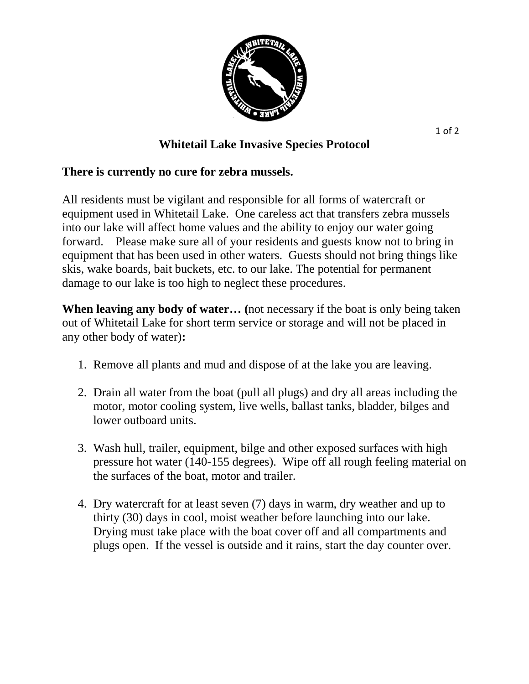

# **Whitetail Lake Invasive Species Protocol**

### **There is currently no cure for zebra mussels.**

All residents must be vigilant and responsible for all forms of watercraft or equipment used in Whitetail Lake. One careless act that transfers zebra mussels into our lake will affect home values and the ability to enjoy our water going forward. Please make sure all of your residents and guests know not to bring in equipment that has been used in other waters. Guests should not bring things like skis, wake boards, bait buckets, etc. to our lake. The potential for permanent damage to our lake is too high to neglect these procedures.

**When leaving any body of water...** (not necessary if the boat is only being taken out of Whitetail Lake for short term service or storage and will not be placed in any other body of water)**:**

- 1. Remove all plants and mud and dispose of at the lake you are leaving.
- 2. Drain all water from the boat (pull all plugs) and dry all areas including the motor, motor cooling system, live wells, ballast tanks, bladder, bilges and lower outboard units.
- 3. Wash hull, trailer, equipment, bilge and other exposed surfaces with high pressure hot water (140-155 degrees). Wipe off all rough feeling material on the surfaces of the boat, motor and trailer.
- 4. Dry watercraft for at least seven (7) days in warm, dry weather and up to thirty (30) days in cool, moist weather before launching into our lake. Drying must take place with the boat cover off and all compartments and plugs open. If the vessel is outside and it rains, start the day counter over.